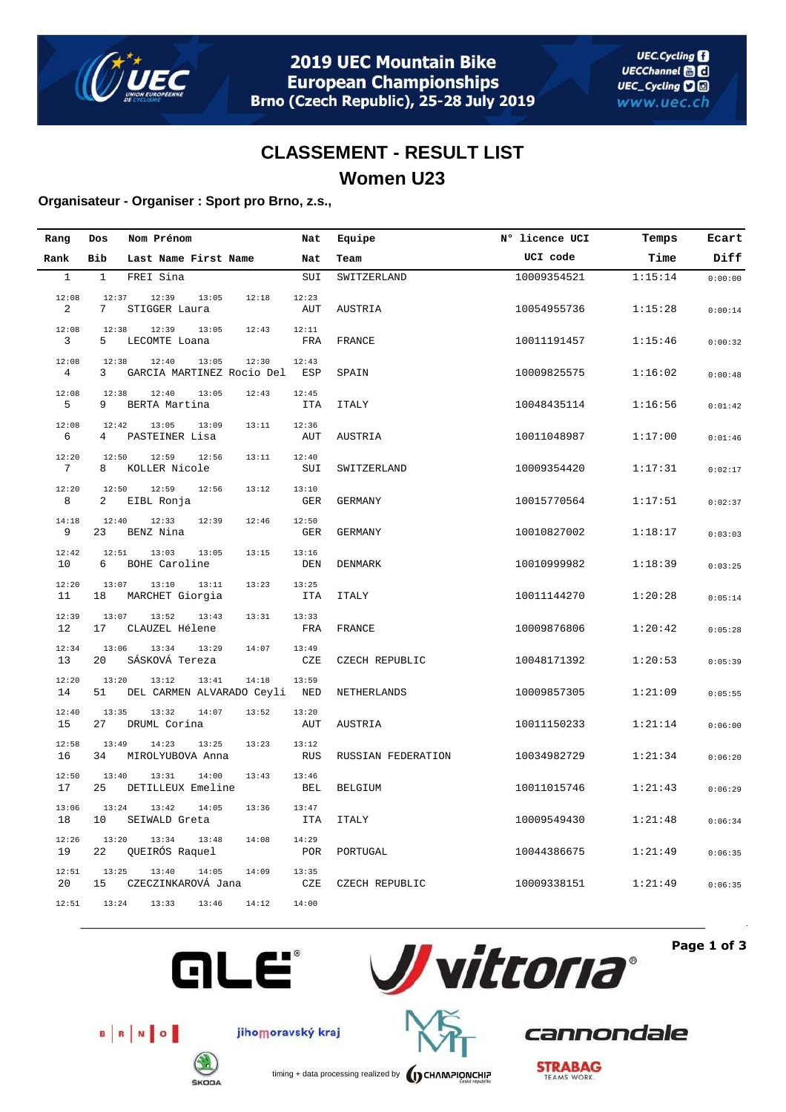

## **CLASSEMENT - RESULT LIST Women U23**

#### **Organisateur - Organiser : Sport pro Brno, z.s.,**

| Rang                  | Dos          | Nom Prénom                                  |       | Nat                 | Equipe             | N° licence UCI | Temps   | Ecart   |
|-----------------------|--------------|---------------------------------------------|-------|---------------------|--------------------|----------------|---------|---------|
| Rank                  | Bib          | Last Name First Name                        |       | Nat                 | Team               | UCI code       | Time    | Diff    |
| $\mathbf{1}$          | $\mathbf{1}$ | FREI Sina                                   |       | SUI                 | SWITZERLAND        | 10009354521    | 1:15:14 | 0:00:00 |
| 12:08<br>$\mathbf{2}$ | 12:37<br>7   | 12:39<br>13:05<br>STIGGER Laura             | 12:18 | 12:23<br>AUT        | AUSTRIA            | 10054955736    | 1:15:28 | 0:00:14 |
| 12:08<br>3            | 12:38<br>5   | 12:39<br>13:05<br>LECOMTE Loana             | 12:43 | 12:11<br>FRA        | FRANCE             | 10011191457    | 1:15:46 | 0:00:32 |
| 12:08<br>4            | 12:38<br>3   | 12:40<br>13:05<br>GARCIA MARTINEZ Rocio Del | 12:30 | 12:43<br>ESP        | SPAIN              | 10009825575    | 1:16:02 | 0:00:48 |
| 12:08<br>5            | 12:38<br>9   | 12:40<br>13:05<br>BERTA Martina             | 12:43 | 12:45<br><b>ITA</b> | <b>ITALY</b>       | 10048435114    | 1:16:56 | 0:01:42 |
| 12:08<br>6            | 12:42<br>4   | 13:09<br>13:05<br>PASTEINER Lisa            | 13:11 | 12:36<br>AUT        | AUSTRIA            | 10011048987    | 1:17:00 | 0:01:46 |
| 12:20<br>7            | 12:50<br>8   | 12:59<br>12:56<br>KOLLER Nicole             | 13:11 | 12:40<br>SUI        | SWITZERLAND        | 10009354420    | 1:17:31 | 0:02:17 |
| 12:20<br>8            | 12:50<br>2   | 12:59<br>12:56<br>EIBL Ronja                | 13:12 | 13:10<br>GER        | GERMANY            | 10015770564    | 1:17:51 | 0:02:37 |
| 14:18<br>9            | 12:40<br>23  | 12:33<br>12:39<br>BENZ Nina                 | 12:46 | 12:50<br><b>GER</b> | <b>GERMANY</b>     | 10010827002    | 1:18:17 | 0:03:03 |
| 12:42<br>10           | 12:51<br>6   | 13:03<br>13:05<br>BOHE Caroline             | 13:15 | 13:16<br>DEN        | <b>DENMARK</b>     | 10010999982    | 1:18:39 | 0:03:25 |
| 12:20<br>11           | 13:07<br>18  | 13:10<br>13:11<br>MARCHET Giorgia           | 13:23 | 13:25<br><b>ITA</b> | <b>ITALY</b>       | 10011144270    | 1:20:28 | 0:05:14 |
| 12:39<br>12           | 13:07<br>17  | 13:52<br>13:43<br>CLAUZEL Hélene            | 13:31 | 13:33<br>FRA        | FRANCE             | 10009876806    | 1:20:42 | 0:05:28 |
| 12:34<br>13           | 13:06<br>20  | 13:34<br>13:29<br>SÁSKOVÁ Tereza            | 14:07 | 13:49<br>CZE        | CZECH REPUBLIC     | 10048171392    | 1:20:53 | 0:05:39 |
| 12:20<br>14           | 13:20<br>51  | 13:12<br>13:41<br>DEL CARMEN ALVARADO Ceyli | 14:18 | 13:59<br><b>NED</b> | NETHERLANDS        | 10009857305    | 1:21:09 | 0:05:55 |
| 12:40<br>15           | 13:35<br>27  | 13:32<br>14:07<br>DRUML Corina              | 13:52 | 13:20<br>AUT        | AUSTRIA            | 10011150233    | 1:21:14 | 0:06:00 |
| 12:58<br>16           | 13:49<br>34  | 14:23<br>13:25<br>MIROLYUBOVA Anna          | 13:23 | 13:12<br><b>RUS</b> | RUSSIAN FEDERATION | 10034982729    | 1:21:34 | 0:06:20 |
| 12:50<br>17           | 13:40<br>25  | 14:00<br>13:31<br>DETILLEUX Emeline         | 13:43 | 13:46<br>BEL        | <b>BELGIUM</b>     | 10011015746    | 1:21:43 | 0:06:29 |
| 13:06<br>18           | 13:24<br>10  | 13:42<br>14:05<br>SEIWALD Greta             | 13:36 | 13:47<br><b>ITA</b> | <b>ITALY</b>       | 10009549430    | 1:21:48 | 0:06:34 |
| 12:26<br>19           | 13:20<br>22  | 13:34<br>13:48<br>QUEIRÓS Raquel            | 14:08 | 14:29<br><b>POR</b> | PORTUGAL           | 10044386675    | 1:21:49 | 0:06:35 |
| 12:51<br>20           | 13:25<br>15  | 13:40<br>14:05<br>CZECZINKAROVÁ Jana        | 14:09 | 13:35<br>CZE        | CZECH REPUBLIC     | 10009338151    | 1:21:49 | 0:06:35 |
| 12:51                 | 13:24        | 13:33<br>13:46                              | 14:12 | 14:00               |                    |                |         |         |



**Page 1 of 3**



jihomoravský kraj



**GLE®** 

timing + data processing realized by **CHAMPIONCHIP** 

**STRABAG** 

cannondale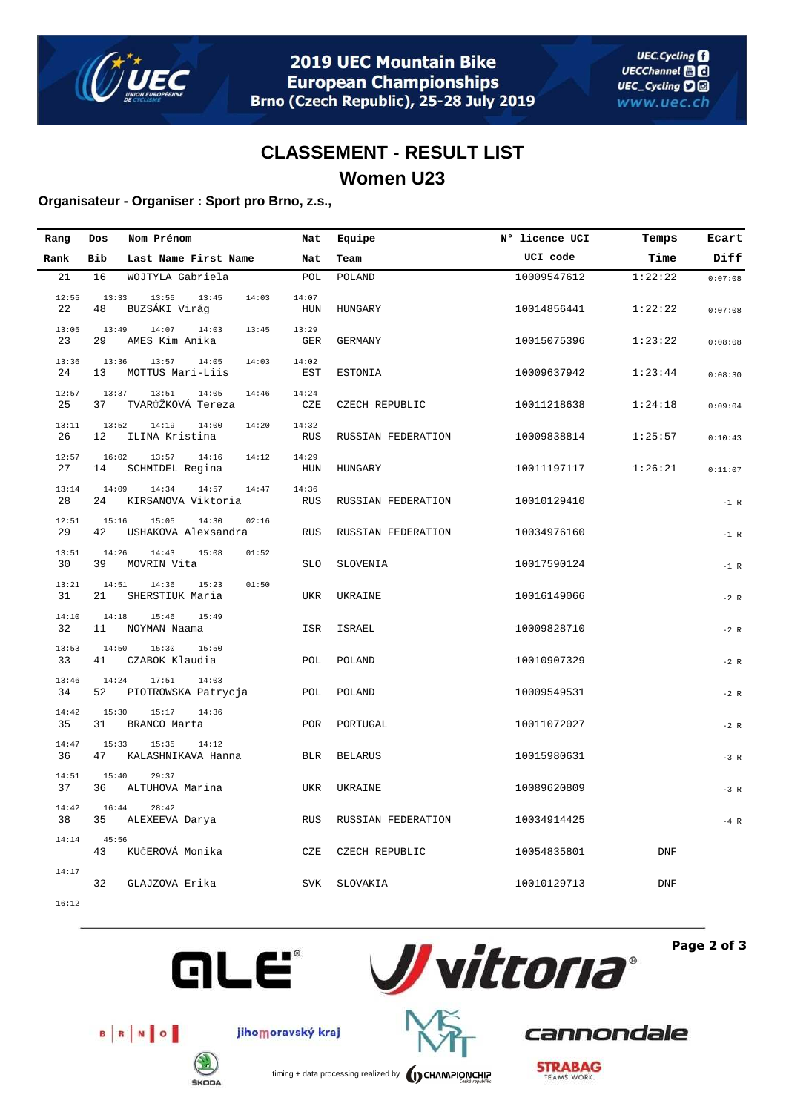

# **CLASSEMENT - RESULT LIST Women U23**

#### **Organisateur - Organiser : Sport pro Brno, z.s.,**

| Rang        | Dos         | Nom Prénom                                     | Nat                 | Equipe             | N° licence UCI | Temps      | Ecart   |
|-------------|-------------|------------------------------------------------|---------------------|--------------------|----------------|------------|---------|
| Rank        | Bib         | Last Name First Name                           | Nat                 | Team               | UCI code       | Time       | Diff    |
| 21          | 16          | WOJTYLA Gabriela                               | POL                 | POLAND             | 10009547612    | 1:22:22    | 0:07:08 |
| 12:55<br>22 | 13:33<br>48 | 13:55<br>13:45<br>14:03<br>BUZSÁKI Virág       | 14:07<br>HUN        | HUNGARY            | 10014856441    | 1:22:22    | 0:07:08 |
| 13:05<br>23 | 13:49<br>29 | 14:07<br>14:03<br>13:45<br>AMES Kim Anika      | 13:29<br>GER        | GERMANY            | 10015075396    | 1:23:22    | 0:08:08 |
| 13:36<br>24 | 13:36<br>13 | 14:03<br>13:57<br>14:05<br>MOTTUS Mari-Liis    | 14:02<br>EST        | ESTONIA            | 10009637942    | 1:23:44    | 0:08:30 |
| 12:57<br>25 | 13:37<br>37 | 13:51<br>14:05<br>14:46<br>TVARŮŽKOVÁ Tereza   | 14:24<br>CZE        | CZECH REPUBLIC     | 10011218638    | 1:24:18    | 0:09:04 |
| 13:11<br>26 | 13:52<br>12 | 14:19<br>14:00<br>14:20<br>ILINA Kristina      | 14:32<br><b>RUS</b> | RUSSIAN FEDERATION | 10009838814    | 1:25:57    | 0:10:43 |
| 12:57<br>27 | 16:02<br>14 | 13:57<br>14:16<br>14:12<br>SCHMIDEL Regina     | 14:29<br>HUN        | HUNGARY            | 10011197117    | 1:26:21    | 0:11:07 |
| 13:14<br>28 | 14:09<br>24 | 14:34<br>14:57<br>14:47<br>KIRSANOVA Viktoria  | 14:36<br><b>RUS</b> | RUSSIAN FEDERATION | 10010129410    |            | $-1$ R  |
| 12:51<br>29 | 15:16<br>42 | 15:05<br>14:30<br>02:16<br>USHAKOVA Alexsandra | RUS                 | RUSSIAN FEDERATION | 10034976160    |            | $-1$ R  |
| 13:51<br>30 | 14:26<br>39 | 15:08<br>14:43<br>01:52<br>MOVRIN Vita         | <b>SLO</b>          | SLOVENIA           | 10017590124    |            | $-1$ R  |
| 13:21<br>31 | 14:51<br>21 | 14:36<br>15:23<br>01:50<br>SHERSTIUK Maria     | UKR                 | UKRAINE            | 10016149066    |            | $-2 R$  |
| 14:10<br>32 | 14:18<br>11 | 15:46<br>15:49<br>NOYMAN Naama                 | ISR                 | ISRAEL             | 10009828710    |            | $-2 R$  |
| 13:53<br>33 | 14:50<br>41 | 15:30<br>15:50<br>CZABOK Klaudia               | POL                 | POLAND             | 10010907329    |            | $-2 R$  |
| 13:46<br>34 | 14:24<br>52 | 17:51<br>14:03<br>PIOTROWSKA Patrycja          | POL                 | POLAND             | 10009549531    |            | $-2 R$  |
| 14:42<br>35 | 15:30<br>31 | 15:17<br>14:36<br>BRANCO Marta                 | <b>POR</b>          | PORTUGAL           | 10011072027    |            | $-2 R$  |
| 14:47<br>36 | 15:33<br>47 | 15:35<br>14:12<br>KALASHNIKAVA Hanna           | BLR                 | <b>BELARUS</b>     | 10015980631    |            | $-3 R$  |
| 14:51<br>37 | 15:40<br>36 | 29:37<br>ALTUHOVA Marina                       | <b>UKR</b>          | UKRAINE            | 10089620809    |            | $-3 R$  |
| 14:42<br>38 | 16:44<br>35 | 28:42<br>ALEXEEVA Darya                        | <b>RUS</b>          | RUSSIAN FEDERATION | 10034914425    |            | $-4$ R  |
| 14:14       | 45:56<br>43 | KUČEROVÁ Monika                                | CZE                 | CZECH REPUBLIC     | 10054835801    | <b>DNF</b> |         |
| 14:17       | 32          | GLAJZOVA Erika                                 | <b>SVK</b>          | SLOVAKIA           | 10010129713    | <b>DNF</b> |         |
| 16:12       |             |                                                |                     |                    |                |            |         |



B R NO

**ŠKODA** 

**Page 2 of 3**









**STRABAG**